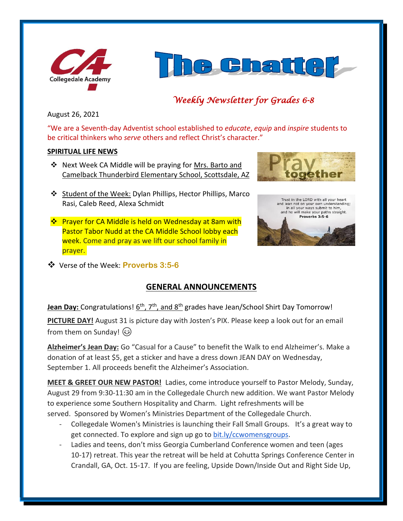



# *Weekly Newsletter for Grades 6-8*

August 26, 2021

"We are a Seventh-day Adventist school established to *educate*, *equip* and *inspire* students to be critical thinkers who *serve* others and reflect Christ's character."

#### **SPIRITUAL LIFE NEWS**

- ❖ Next Week CA Middle will be praying for Mrs. Barto and Camelback Thunderbird Elementary School, Scottsdale, AZ
- 
- ❖ Student of the Week: Dylan Phillips, Hector Phillips, Marco Rasi, Caleb Reed, Alexa Schmidt
- ❖ Prayer for CA Middle is held on Wednesday at 8am with Pastor Tabor Nudd at the CA Middle School lobby each week. Come and pray as we lift our school family in prayer.



❖ Verse of the Week: **Proverbs 3:5-6**

# **GENERAL ANNOUNCEMENTS**

**Jean Day:** Congratulations! 6<sup>th</sup>, 7<sup>th</sup>, and 8<sup>th</sup> grades have Jean/School Shirt Day Tomorrow!

**PICTURE DAY!** August 31 is picture day with Josten's PIX. Please keep a look out for an email from them on Sunday!  $\circled{3}$ 

**Alzheimer's Jean Day:** Go "Casual for a Cause" to benefit the Walk to end Alzheimer's. Make a donation of at least \$5, get a sticker and have a dress down JEAN DAY on Wednesday, September 1. All proceeds benefit the Alzheimer's Association.

**MEET & GREET OUR NEW PASTOR!** Ladies, come introduce yourself to Pastor Melody, Sunday, August 29 from 9:30-11:30 am in the Collegedale Church new addition. We want Pastor Melody to experience some Southern Hospitality and Charm. Light refreshments will be served. Sponsored by Women's Ministries Department of the Collegedale Church.

- Collegedale Women's Ministries is launching their Fall Small Groups. It's a great way to get connected. To explore and sign up go to [bit.ly/ccwomensgroups.](http://bit.ly/ccwomensgroups)
- Ladies and teens, don't miss Georgia Cumberland Conference women and teen (ages 10-17) retreat. This year the retreat will be held at Cohutta Springs Conference Center in Crandall, GA, Oct. 15-17. If you are feeling, Upside Down/Inside Out and Right Side Up,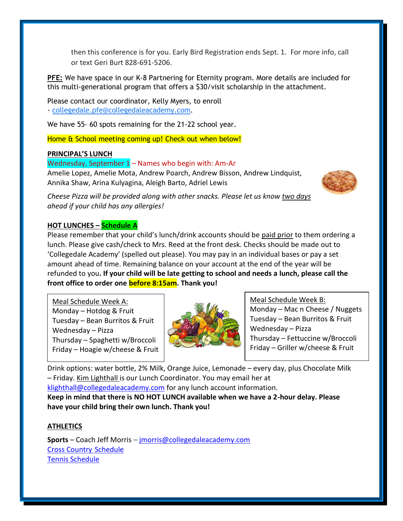then this conference is for you. Early Bird Registration ends Sept. 1. For more info, call or text Geri Burt 828-691-5206.

**PFE:** We have space in our K-8 Partnering for Eternity program. More details are included for this multi-generational program that offers a \$30/visit scholarship in the attachment.

Please contact our coordinator, Kelly Myers, to enroll - [collegedale.pfe@collegedaleacademy.com.](mailto:collegedale.pfe@collegedaleacademy.com)

We have 55- 60 spots remaining for the 21-22 school year.

Home & School meeting coming up! Check out when below!

#### **PRINCIPAL'S LUNCH**

#### Wednesday, September 1 – Names who begin with: Am-Ar

Amelie Lopez, Amelie Mota, Andrew Poarch, Andrew Bisson, Andrew Lindquist, Annika Shaw, Arina Kulyagina, Aleigh Barto, Adriel Lewis



*Cheese Pizza will be provided along with other snacks. Please let us know two days ahead if your child has any allergies!*

## **HOT LUNCHES – Schedule A**

Please remember that your child's lunch/drink accounts should be paid prior to them ordering a lunch. Please give cash/check to Mrs. Reed at the front desk. Checks should be made out to 'Collegedale Academy' (spelled out please). You may pay in an individual bases or pay a set amount ahead of time. Remaining balance on your account at the end of the year will be refunded to you**. If your child will be late getting to school and needs a lunch, please call the front office to order one before 8:15am. Thank you!** 

Meal Schedule Week A: Monday – Hotdog & Fruit Tuesday – Bean Burritos & Fruit Wednesday – Pizza Thursday – Spaghetti w/Broccoli Friday – Hoagie w/cheese & Fruit



Meal Schedule Week B: Monday – Mac n Cheese / Nuggets Tuesday – Bean Burritos & Fruit Wednesday – Pizza Thursday – Fettuccine w/Broccoli Friday – Griller w/cheese & Fruit

Drink options: water bottle, 2% Milk, Orange Juice, Lemonade – every day, plus Chocolate Milk – Friday. Kim Lighthall is our Lunch Coordinator. You may email her at [klighthall@collegedaleacademy.com](mailto:klighthall@collegedaleacademy.com) for any lunch account information.

**Keep in mind that there is NO HOT LUNCH available when we have a 2-hour delay. Please have your child bring their own lunch. Thank you!**

## **ATHLETICS**

**Sports** – Coach Jeff Morris – [jmorris@collegedaleacademy.com](mailto:jmorris@collegedaleacademy.com) [Cross Country](https://www.collegedaleacademy.com/wp-content/uploads/2021/08/2021-2022-Cross-Country-Schedule.pdf) Schedule [Tennis Schedule](https://www.collegedaleacademy.com/wp-content/uploads/2021/08/2021-2022-Tennis-Schedule.pdf)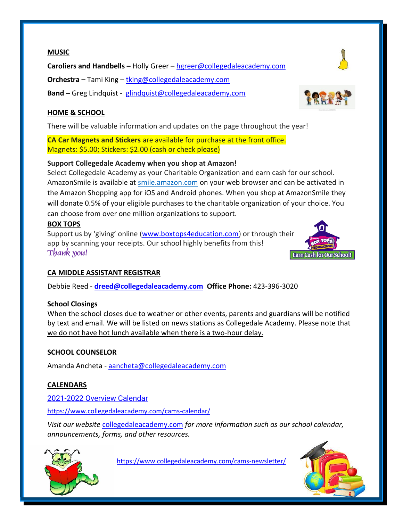#### **MUSIC**

**Caroliers and Handbells –** Holly Greer – [hgreer@collegedaleacademy.com](mailto:hgreer@collegedaleacademy.com)

**Orchestra –** Tami King – [tking@collegedaleacademy.com](mailto:tking@collegedaleacademy.com)

**Band –** Greg Lindquist - [glindquist@collegedaleacademy.com](mailto:glindquist@collegedaleacademy.com)

# **HOME & SCHOOL**

There will be valuable information and updates on the page throughout the year!

**CA Car Magnets and Stickers** are available for purchase at the front office. Magnets: \$5.00; Stickers: \$2.00 (cash or check please)

## **Support Collegedale Academy when you shop at Amazon!**

Select Collegedale Academy as your Charitable Organization and earn cash for our school. AmazonSmile is available at [smile.amazon.com](https://smile.amazon.com/ref=smi_se_saas_lsmi_smi) on your web browser and can be activated in the Amazon Shopping app for iOS and Android phones. When you shop at AmazonSmile they will donate 0.5% of your eligible purchases to the charitable organization of your choice. You can choose from over one million organizations to support.

## **BOX TOPS**

Support us by 'giving' online ([www.boxtops4education.com\)](http://www.boxtops4education.com/) or through their app by scanning your receipts. Our school highly benefits from this! **Thank you!**

# **CA MIDDLE ASSISTANT REGISTRAR**

Debbie Reed - **[dreed@collegedaleacademy.com](mailto:dreed@collegedaleacademy.com) Office Phone:** 423-396-3020

## **School Closings**

When the school closes due to weather or other events, parents and guardians will be notified by text and email. We will be listed on news stations as Collegedale Academy. Please note that we do not have hot lunch available when there is a two-hour delay.

## **SCHOOL COUNSELOR**

Amanda Ancheta - [aancheta@collegedaleacademy.com](mailto:aancheta@collegedaleacademy.com)

## **CALENDARS**

2021-2022 [Overview Calendar](https://www.collegedaleacademy.com/wp-content/uploads/2021/07/2021-22-Overview-Calendar-middle.pdf)

<https://www.collegedaleacademy.com/cams-calendar/>

*Visit our website* [collegedaleacademy.com](https://www.collegedaleacademy.com/) *for more information such as our school calendar, announcements, forms, and other resources.*



<https://www.collegedaleacademy.com/cams-newsletter/>